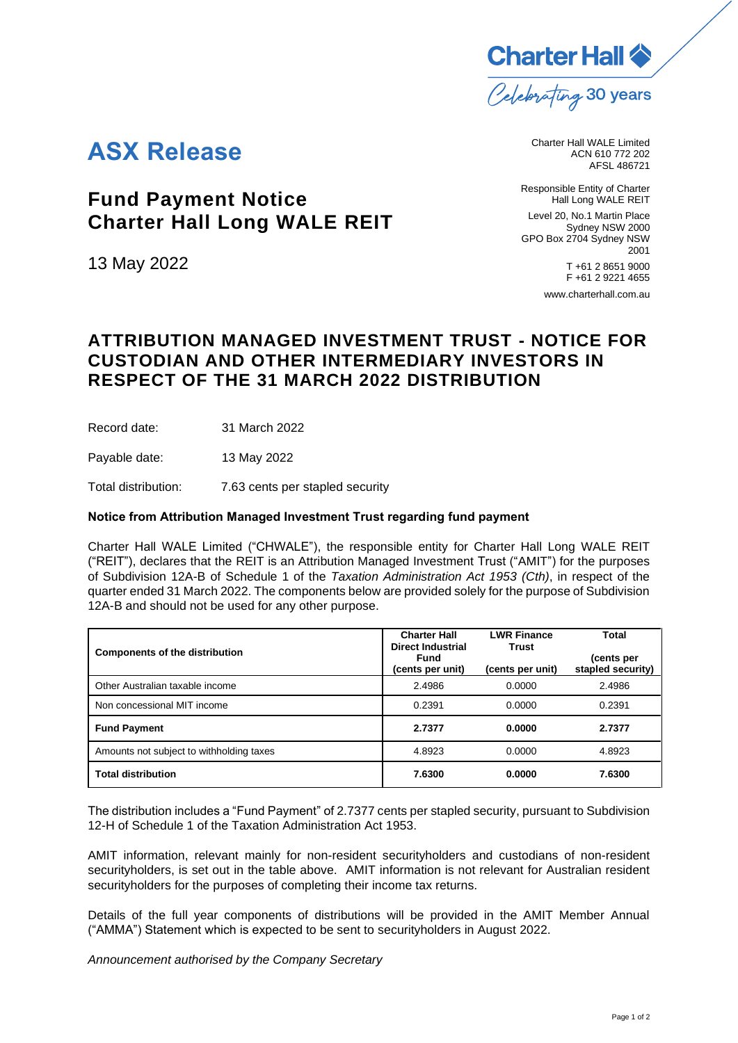

## **ASX Release**

**Fund Payment Notice Charter Hall Long WALE REIT**

13 May 2022

Charter Hall WALE Limited ACN 610 772 202 AFSL 486721

Responsible Entity of Charter Hall Long WALE REIT Level 20, No.1 Martin Place Sydney NSW 2000 GPO Box 2704 Sydney NSW 2001 T +61 2 8651 9000 F +61 2 9221 4655

[www.charterhall.com.au](https://www.charterhall.com.au/)

## **ATTRIBUTION MANAGED INVESTMENT TRUST - NOTICE FOR CUSTODIAN AND OTHER INTERMEDIARY INVESTORS IN RESPECT OF THE 31 MARCH 2022 DISTRIBUTION**

Record date: 31 March 2022

Payable date: 13 May 2022

Total distribution: 7.63 cents per stapled security

## **Notice from Attribution Managed Investment Trust regarding fund payment**

Charter Hall WALE Limited ("CHWALE"), the responsible entity for Charter Hall Long WALE REIT ("REIT"), declares that the REIT is an Attribution Managed Investment Trust ("AMIT") for the purposes of Subdivision 12A-B of Schedule 1 of the *Taxation Administration Act 1953 (Cth)*, in respect of the quarter ended 31 March 2022. The components below are provided solely for the purpose of Subdivision 12A-B and should not be used for any other purpose.

| <b>Components of the distribution</b>    | <b>Charter Hall</b><br><b>Direct Industrial</b><br>Fund<br>(cents per unit) | <b>LWR Finance</b><br><b>Trust</b><br>(cents per unit) | Total<br>(cents per<br>stapled security) |
|------------------------------------------|-----------------------------------------------------------------------------|--------------------------------------------------------|------------------------------------------|
| Other Australian taxable income          | 2.4986                                                                      | 0.0000                                                 | 2.4986                                   |
| Non concessional MIT income              | 0.2391                                                                      | 0.0000                                                 | 0.2391                                   |
| <b>Fund Payment</b>                      | 2.7377                                                                      | 0.0000                                                 | 2.7377                                   |
| Amounts not subject to withholding taxes | 4.8923                                                                      | 0.0000                                                 | 4.8923                                   |
| <b>Total distribution</b>                | 7.6300                                                                      | 0.0000                                                 | 7.6300                                   |

The distribution includes a "Fund Payment" of 2.7377 cents per stapled security, pursuant to Subdivision 12-H of Schedule 1 of the Taxation Administration Act 1953.

AMIT information, relevant mainly for non-resident securityholders and custodians of non-resident securityholders, is set out in the table above. AMIT information is not relevant for Australian resident securityholders for the purposes of completing their income tax returns.

Details of the full year components of distributions will be provided in the AMIT Member Annual ("AMMA") Statement which is expected to be sent to securityholders in August 2022.

*Announcement authorised by the Company Secretary*